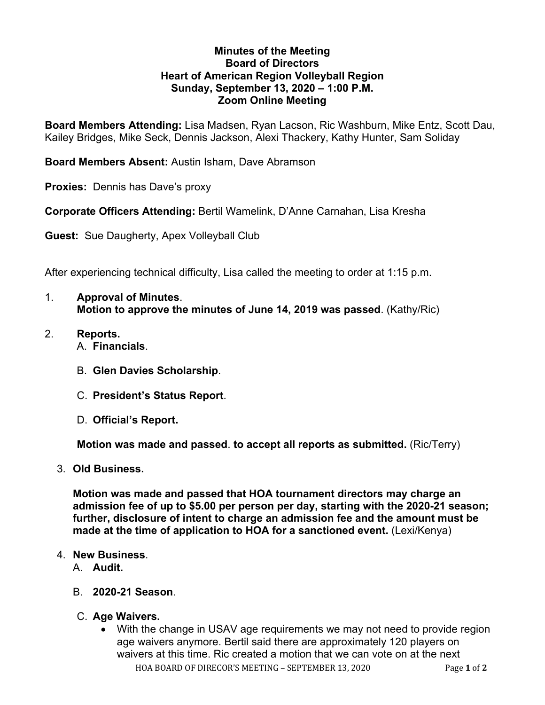## **Minutes of the Meeting Board of Directors Heart of American Region Volleyball Region Sunday, September 13, 2020 – 1:00 P.M. Zoom Online Meeting**

**Board Members Attending:** Lisa Madsen, Ryan Lacson, Ric Washburn, Mike Entz, Scott Dau, Kailey Bridges, Mike Seck, Dennis Jackson, Alexi Thackery, Kathy Hunter, Sam Soliday

**Board Members Absent:** Austin Isham, Dave Abramson

**Proxies:** Dennis has Dave's proxy

**Corporate Officers Attending:** Bertil Wamelink, D'Anne Carnahan, Lisa Kresha

**Guest:** Sue Daugherty, Apex Volleyball Club

After experiencing technical difficulty, Lisa called the meeting to order at 1:15 p.m.

- 1. **Approval of Minutes**. **Motion to approve the minutes of June 14, 2019 was passed**. (Kathy/Ric)
- 2. **Reports.** A. **Financials**.
	- B. **Glen Davies Scholarship**.
	- C. **President's Status Report**.
	- D. **Official's Report.**

**Motion was made and passed**. **to accept all reports as submitted.** (Ric/Terry)

3. **Old Business.**

**Motion was made and passed that HOA tournament directors may charge an admission fee of up to \$5.00 per person per day, starting with the 2020-21 season; further, disclosure of intent to charge an admission fee and the amount must be made at the time of application to HOA for a sanctioned event.** (Lexi/Kenya)

## 4. **New Business**.

- A. **Audit.**
- B. **2020-21 Season**.
- C. **Age Waivers.**
	- HOA BOARD OF DIRECOR'S MEETING SEPTEMBER 13, 2020 Page 1 of 2 • With the change in USAV age requirements we may not need to provide region age waivers anymore. Bertil said there are approximately 120 players on waivers at this time. Ric created a motion that we can vote on at the next